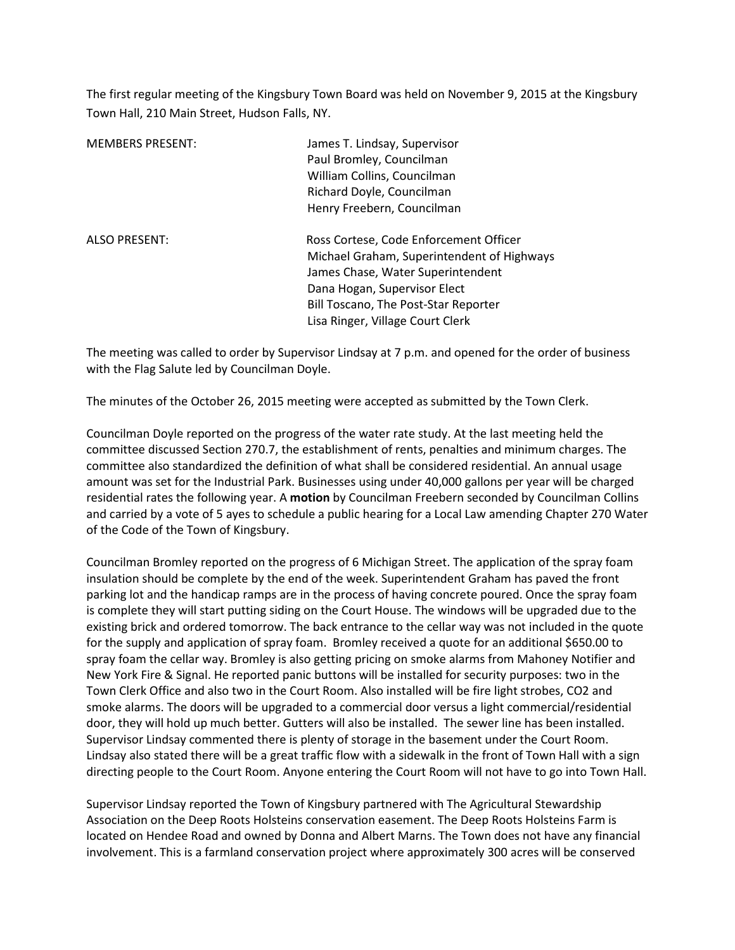The first regular meeting of the Kingsbury Town Board was held on November 9, 2015 at the Kingsbury Town Hall, 210 Main Street, Hudson Falls, NY.

| <b>MEMBERS PRESENT:</b> | James T. Lindsay, Supervisor<br>Paul Bromley, Councilman<br>William Collins, Councilman<br>Richard Doyle, Councilman<br>Henry Freebern, Councilman                                                                                    |
|-------------------------|---------------------------------------------------------------------------------------------------------------------------------------------------------------------------------------------------------------------------------------|
| <b>ALSO PRESENT:</b>    | Ross Cortese, Code Enforcement Officer<br>Michael Graham, Superintendent of Highways<br>James Chase, Water Superintendent<br>Dana Hogan, Supervisor Elect<br>Bill Toscano, The Post-Star Reporter<br>Lisa Ringer, Village Court Clerk |

The meeting was called to order by Supervisor Lindsay at 7 p.m. and opened for the order of business with the Flag Salute led by Councilman Doyle.

The minutes of the October 26, 2015 meeting were accepted as submitted by the Town Clerk.

Councilman Doyle reported on the progress of the water rate study. At the last meeting held the committee discussed Section 270.7, the establishment of rents, penalties and minimum charges. The committee also standardized the definition of what shall be considered residential. An annual usage amount was set for the Industrial Park. Businesses using under 40,000 gallons per year will be charged residential rates the following year. A **motion** by Councilman Freebern seconded by Councilman Collins and carried by a vote of 5 ayes to schedule a public hearing for a Local Law amending Chapter 270 Water of the Code of the Town of Kingsbury.

Councilman Bromley reported on the progress of 6 Michigan Street. The application of the spray foam insulation should be complete by the end of the week. Superintendent Graham has paved the front parking lot and the handicap ramps are in the process of having concrete poured. Once the spray foam is complete they will start putting siding on the Court House. The windows will be upgraded due to the existing brick and ordered tomorrow. The back entrance to the cellar way was not included in the quote for the supply and application of spray foam. Bromley received a quote for an additional \$650.00 to spray foam the cellar way. Bromley is also getting pricing on smoke alarms from Mahoney Notifier and New York Fire & Signal. He reported panic buttons will be installed for security purposes: two in the Town Clerk Office and also two in the Court Room. Also installed will be fire light strobes, CO2 and smoke alarms. The doors will be upgraded to a commercial door versus a light commercial/residential door, they will hold up much better. Gutters will also be installed. The sewer line has been installed. Supervisor Lindsay commented there is plenty of storage in the basement under the Court Room. Lindsay also stated there will be a great traffic flow with a sidewalk in the front of Town Hall with a sign directing people to the Court Room. Anyone entering the Court Room will not have to go into Town Hall.

Supervisor Lindsay reported the Town of Kingsbury partnered with The Agricultural Stewardship Association on the Deep Roots Holsteins conservation easement. The Deep Roots Holsteins Farm is located on Hendee Road and owned by Donna and Albert Marns. The Town does not have any financial involvement. This is a farmland conservation project where approximately 300 acres will be conserved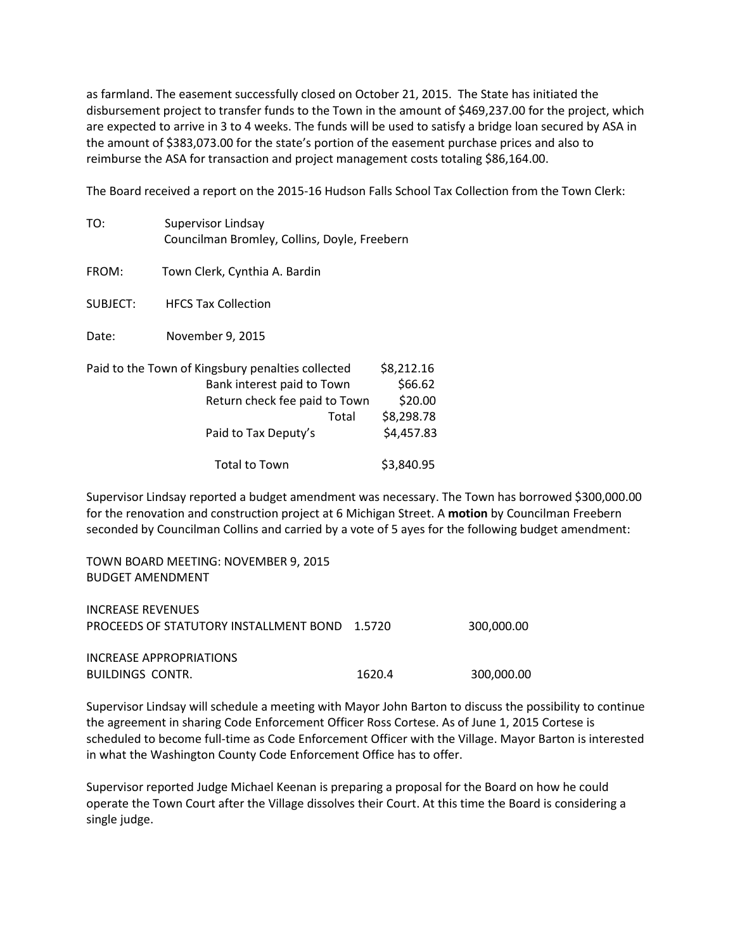as farmland. The easement successfully closed on October 21, 2015. The State has initiated the disbursement project to transfer funds to the Town in the amount of \$469,237.00 for the project, which are expected to arrive in 3 to 4 weeks. The funds will be used to satisfy a bridge loan secured by ASA in the amount of \$383,073.00 for the state's portion of the easement purchase prices and also to reimburse the ASA for transaction and project management costs totaling \$86,164.00.

The Board received a report on the 2015-16 Hudson Falls School Tax Collection from the Town Clerk:

| TO:      | Supervisor Lindsay<br>Councilman Bromley, Collins, Doyle, Freebern                                                                                |                                                              |  |
|----------|---------------------------------------------------------------------------------------------------------------------------------------------------|--------------------------------------------------------------|--|
| FROM:    | Town Clerk, Cynthia A. Bardin                                                                                                                     |                                                              |  |
| SUBJECT: | <b>HFCS Tax Collection</b>                                                                                                                        |                                                              |  |
| Date:    | November 9, 2015                                                                                                                                  |                                                              |  |
|          | Paid to the Town of Kingsbury penalties collected<br>Bank interest paid to Town<br>Return check fee paid to Town<br>Total<br>Paid to Tax Deputy's | \$8,212.16<br>\$66.62<br>\$20.00<br>\$8,298.78<br>\$4,457.83 |  |
|          | <b>Total to Town</b>                                                                                                                              | \$3,840.95                                                   |  |

Supervisor Lindsay reported a budget amendment was necessary. The Town has borrowed \$300,000.00 for the renovation and construction project at 6 Michigan Street. A **motion** by Councilman Freebern seconded by Councilman Collins and carried by a vote of 5 ayes for the following budget amendment:

TOWN BOARD MEETING: NOVEMBER 9, 2015 BUDGET AMENDMENT

| INCREASE REVENUES<br><b>PROCEEDS OF STATUTORY INSTALLMENT BOND 1.5720</b> |        | 300.000.00 |
|---------------------------------------------------------------------------|--------|------------|
| INCREASE APPROPRIATIONS<br>BUILDINGS CONTR.                               | 1620.4 | 300,000,00 |

Supervisor Lindsay will schedule a meeting with Mayor John Barton to discuss the possibility to continue the agreement in sharing Code Enforcement Officer Ross Cortese. As of June 1, 2015 Cortese is scheduled to become full-time as Code Enforcement Officer with the Village. Mayor Barton is interested in what the Washington County Code Enforcement Office has to offer.

Supervisor reported Judge Michael Keenan is preparing a proposal for the Board on how he could operate the Town Court after the Village dissolves their Court. At this time the Board is considering a single judge.